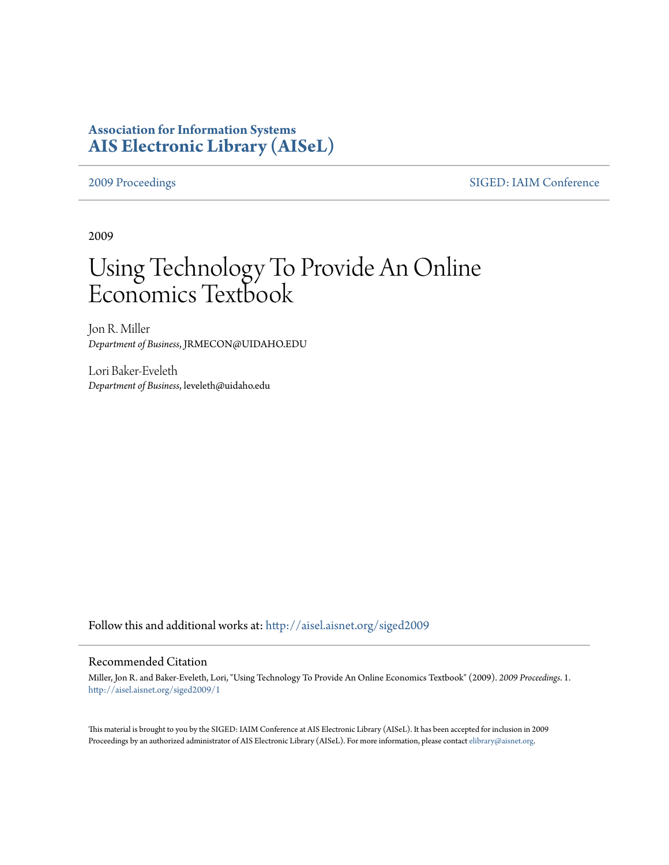## **Association for Information Systems [AIS Electronic Library \(AISeL\)](http://aisel.aisnet.org?utm_source=aisel.aisnet.org%2Fsiged2009%2F1&utm_medium=PDF&utm_campaign=PDFCoverPages)**

[2009 Proceedings](http://aisel.aisnet.org/siged2009?utm_source=aisel.aisnet.org%2Fsiged2009%2F1&utm_medium=PDF&utm_campaign=PDFCoverPages) [SIGED: IAIM Conference](http://aisel.aisnet.org/siged?utm_source=aisel.aisnet.org%2Fsiged2009%2F1&utm_medium=PDF&utm_campaign=PDFCoverPages)

2009

# Using Technology To Provide An Online Economics Textbook

Jon R. Miller *Department of Business*, JRMECON@UIDAHO.EDU

Lori Baker-Eveleth *Department of Business*, leveleth@uidaho.edu

Follow this and additional works at: [http://aisel.aisnet.org/siged2009](http://aisel.aisnet.org/siged2009?utm_source=aisel.aisnet.org%2Fsiged2009%2F1&utm_medium=PDF&utm_campaign=PDFCoverPages)

#### Recommended Citation

Miller, Jon R. and Baker-Eveleth, Lori, "Using Technology To Provide An Online Economics Textbook" (2009). *2009 Proceedings*. 1. [http://aisel.aisnet.org/siged2009/1](http://aisel.aisnet.org/siged2009/1?utm_source=aisel.aisnet.org%2Fsiged2009%2F1&utm_medium=PDF&utm_campaign=PDFCoverPages)

This material is brought to you by the SIGED: IAIM Conference at AIS Electronic Library (AISeL). It has been accepted for inclusion in 2009 Proceedings by an authorized administrator of AIS Electronic Library (AISeL). For more information, please contact [elibrary@aisnet.org](mailto:elibrary@aisnet.org%3E).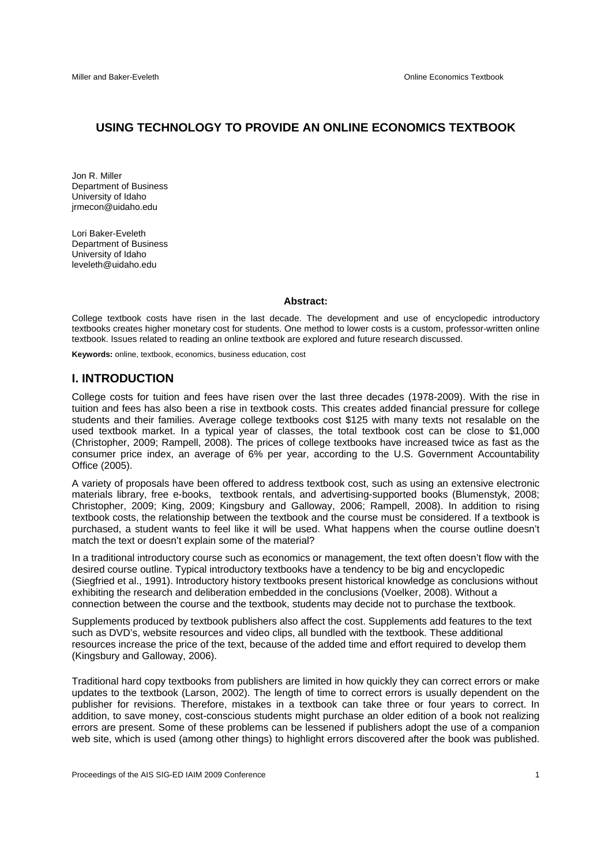#### **USING TECHNOLOGY TO PROVIDE AN ONLINE ECONOMICS TEXTBOOK**

Jon R. Miller Department of Business University of Idaho jrmecon@uidaho.edu

Lori Baker-Eveleth Department of Business University of Idaho leveleth@uidaho.edu

#### **Abstract:**

College textbook costs have risen in the last decade. The development and use of encyclopedic introductory textbooks creates higher monetary cost for students. One method to lower costs is a custom, professor-written online textbook. Issues related to reading an online textbook are explored and future research discussed.

**Keywords:** online, textbook, economics, business education, cost

#### **I. INTRODUCTION**

College costs for tuition and fees have risen over the last three decades (1978-2009). With the rise in tuition and fees has also been a rise in textbook costs. This creates added financial pressure for college students and their families. Average college textbooks cost \$125 with many texts not resalable on the used textbook market. In a typical year of classes, the total textbook cost can be close to \$1,000 (Christopher, 2009; Rampell, 2008). The prices of college textbooks have increased twice as fast as the consumer price index, an average of 6% per year, according to the U.S. Government Accountability Office (2005).

A variety of proposals have been offered to address textbook cost, such as using an extensive electronic materials library, free e-books, textbook rentals, and advertising-supported books (Blumenstyk, 2008; Christopher, 2009; King, 2009; Kingsbury and Galloway, 2006; Rampell, 2008). In addition to rising textbook costs, the relationship between the textbook and the course must be considered. If a textbook is purchased, a student wants to feel like it will be used. What happens when the course outline doesn't match the text or doesn't explain some of the material?

In a traditional introductory course such as economics or management, the text often doesn't flow with the desired course outline. Typical introductory textbooks have a tendency to be big and encyclopedic (Siegfried et al., 1991). Introductory history textbooks present historical knowledge as conclusions without exhibiting the research and deliberation embedded in the conclusions (Voelker, 2008). Without a connection between the course and the textbook, students may decide not to purchase the textbook.

Supplements produced by textbook publishers also affect the cost. Supplements add features to the text such as DVD's, website resources and video clips, all bundled with the textbook. These additional resources increase the price of the text, because of the added time and effort required to develop them (Kingsbury and Galloway, 2006).

Traditional hard copy textbooks from publishers are limited in how quickly they can correct errors or make updates to the textbook (Larson, 2002). The length of time to correct errors is usually dependent on the publisher for revisions. Therefore, mistakes in a textbook can take three or four years to correct. In addition, to save money, cost-conscious students might purchase an older edition of a book not realizing errors are present. Some of these problems can be lessened if publishers adopt the use of a companion web site, which is used (among other things) to highlight errors discovered after the book was published.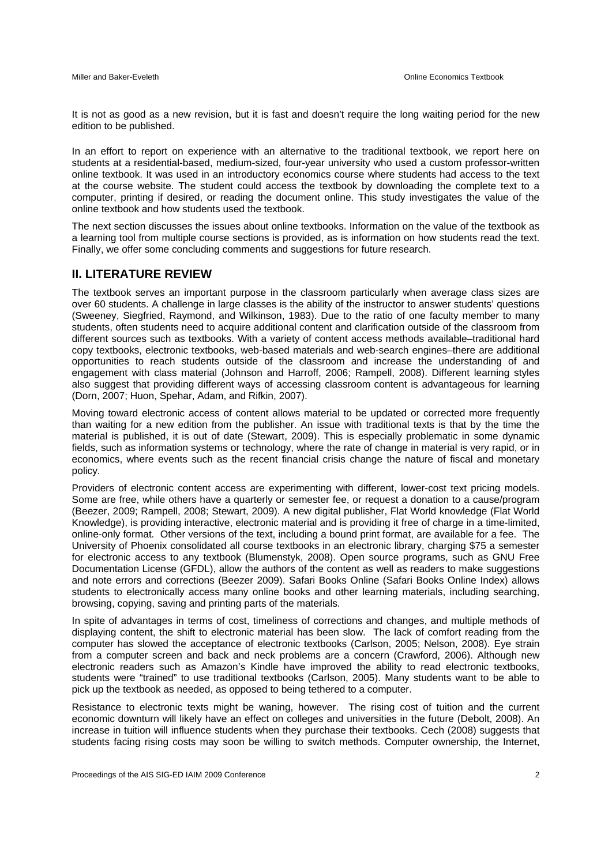It is not as good as a new revision, but it is fast and doesn't require the long waiting period for the new edition to be published.

In an effort to report on experience with an alternative to the traditional textbook, we report here on students at a residential-based, medium-sized, four-year university who used a custom professor-written online textbook. It was used in an introductory economics course where students had access to the text at the course website. The student could access the textbook by downloading the complete text to a computer, printing if desired, or reading the document online. This study investigates the value of the online textbook and how students used the textbook.

The next section discusses the issues about online textbooks. Information on the value of the textbook as a learning tool from multiple course sections is provided, as is information on how students read the text. Finally, we offer some concluding comments and suggestions for future research.

#### **II. LITERATURE REVIEW**

The textbook serves an important purpose in the classroom particularly when average class sizes are over 60 students. A challenge in large classes is the ability of the instructor to answer students' questions (Sweeney, Siegfried, Raymond, and Wilkinson, 1983). Due to the ratio of one faculty member to many students, often students need to acquire additional content and clarification outside of the classroom from different sources such as textbooks. With a variety of content access methods available–traditional hard copy textbooks, electronic textbooks, web-based materials and web-search engines–there are additional opportunities to reach students outside of the classroom and increase the understanding of and engagement with class material (Johnson and Harroff, 2006; Rampell, 2008). Different learning styles also suggest that providing different ways of accessing classroom content is advantageous for learning (Dorn, 2007; Huon, Spehar, Adam, and Rifkin, 2007).

Moving toward electronic access of content allows material to be updated or corrected more frequently than waiting for a new edition from the publisher. An issue with traditional texts is that by the time the material is published, it is out of date (Stewart, 2009). This is especially problematic in some dynamic fields, such as information systems or technology, where the rate of change in material is very rapid, or in economics, where events such as the recent financial crisis change the nature of fiscal and monetary policy.

Providers of electronic content access are experimenting with different, lower-cost text pricing models. Some are free, while others have a quarterly or semester fee, or request a donation to a cause/program (Beezer, 2009; Rampell, 2008; Stewart, 2009). A new digital publisher, Flat World knowledge (Flat World Knowledge), is providing interactive, electronic material and is providing it free of charge in a time-limited, online-only format. Other versions of the text, including a bound print format, are available for a fee. The University of Phoenix consolidated all course textbooks in an electronic library, charging \$75 a semester for electronic access to any textbook (Blumenstyk, 2008). Open source programs, such as GNU Free Documentation License (GFDL), allow the authors of the content as well as readers to make suggestions and note errors and corrections (Beezer 2009). Safari Books Online (Safari Books Online Index) allows students to electronically access many online books and other learning materials, including searching, browsing, copying, saving and printing parts of the materials.

In spite of advantages in terms of cost, timeliness of corrections and changes, and multiple methods of displaying content, the shift to electronic material has been slow. The lack of comfort reading from the computer has slowed the acceptance of electronic textbooks (Carlson, 2005; Nelson, 2008). Eye strain from a computer screen and back and neck problems are a concern (Crawford, 2006). Although new electronic readers such as Amazon's Kindle have improved the ability to read electronic textbooks, students were "trained" to use traditional textbooks (Carlson, 2005). Many students want to be able to pick up the textbook as needed, as opposed to being tethered to a computer.

Resistance to electronic texts might be waning, however. The rising cost of tuition and the current economic downturn will likely have an effect on colleges and universities in the future (Debolt, 2008). An increase in tuition will influence students when they purchase their textbooks. Cech (2008) suggests that students facing rising costs may soon be willing to switch methods. Computer ownership, the Internet,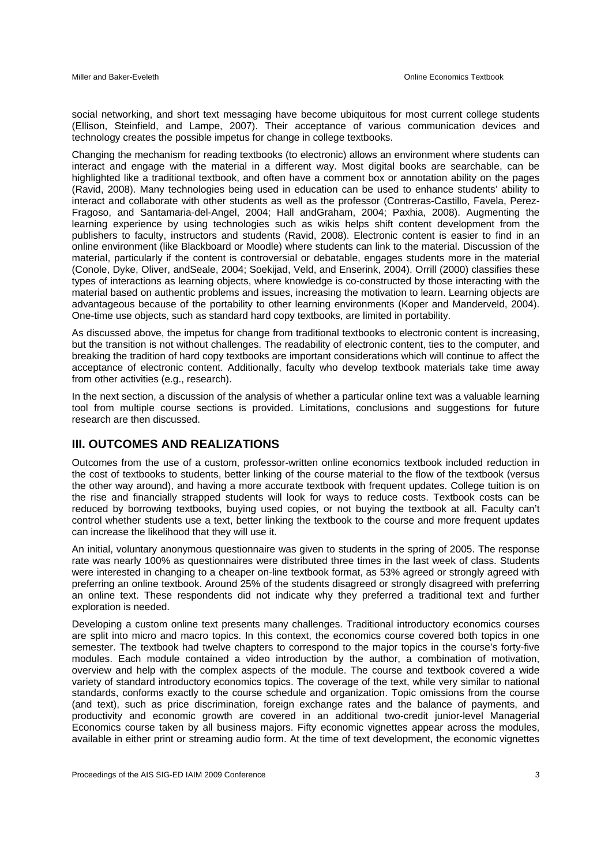social networking, and short text messaging have become ubiquitous for most current college students (Ellison, Steinfield, and Lampe, 2007). Their acceptance of various communication devices and technology creates the possible impetus for change in college textbooks.

Changing the mechanism for reading textbooks (to electronic) allows an environment where students can interact and engage with the material in a different way. Most digital books are searchable, can be highlighted like a traditional textbook, and often have a comment box or annotation ability on the pages (Ravid, 2008). Many technologies being used in education can be used to enhance students' ability to interact and collaborate with other students as well as the professor (Contreras-Castillo, Favela, Perez-Fragoso, and Santamaria-del-Angel, 2004; Hall andGraham, 2004; Paxhia, 2008). Augmenting the learning experience by using technologies such as wikis helps shift content development from the publishers to faculty, instructors and students (Ravid, 2008). Electronic content is easier to find in an online environment (like Blackboard or Moodle) where students can link to the material. Discussion of the material, particularly if the content is controversial or debatable, engages students more in the material (Conole, Dyke, Oliver, andSeale, 2004; Soekijad, Veld, and Enserink, 2004). Orrill (2000) classifies these types of interactions as learning objects, where knowledge is co-constructed by those interacting with the material based on authentic problems and issues, increasing the motivation to learn. Learning objects are advantageous because of the portability to other learning environments (Koper and Manderveld, 2004). One-time use objects, such as standard hard copy textbooks, are limited in portability.

As discussed above, the impetus for change from traditional textbooks to electronic content is increasing, but the transition is not without challenges. The readability of electronic content, ties to the computer, and breaking the tradition of hard copy textbooks are important considerations which will continue to affect the acceptance of electronic content. Additionally, faculty who develop textbook materials take time away from other activities (e.g., research).

In the next section, a discussion of the analysis of whether a particular online text was a valuable learning tool from multiple course sections is provided. Limitations, conclusions and suggestions for future research are then discussed.

### **III. OUTCOMES AND REALIZATIONS**

Outcomes from the use of a custom, professor-written online economics textbook included reduction in the cost of textbooks to students, better linking of the course material to the flow of the textbook (versus the other way around), and having a more accurate textbook with frequent updates. College tuition is on the rise and financially strapped students will look for ways to reduce costs. Textbook costs can be reduced by borrowing textbooks, buying used copies, or not buying the textbook at all. Faculty can't control whether students use a text, better linking the textbook to the course and more frequent updates can increase the likelihood that they will use it.

An initial, voluntary anonymous questionnaire was given to students in the spring of 2005. The response rate was nearly 100% as questionnaires were distributed three times in the last week of class. Students were interested in changing to a cheaper on-line textbook format, as 53% agreed or strongly agreed with preferring an online textbook. Around 25% of the students disagreed or strongly disagreed with preferring an online text. These respondents did not indicate why they preferred a traditional text and further exploration is needed.

Developing a custom online text presents many challenges. Traditional introductory economics courses are split into micro and macro topics. In this context, the economics course covered both topics in one semester. The textbook had twelve chapters to correspond to the major topics in the course's forty-five modules. Each module contained a video introduction by the author, a combination of motivation, overview and help with the complex aspects of the module. The course and textbook covered a wide variety of standard introductory economics topics. The coverage of the text, while very similar to national standards, conforms exactly to the course schedule and organization. Topic omissions from the course (and text), such as price discrimination, foreign exchange rates and the balance of payments, and productivity and economic growth are covered in an additional two-credit junior-level Managerial Economics course taken by all business majors. Fifty economic vignettes appear across the modules, available in either print or streaming audio form. At the time of text development, the economic vignettes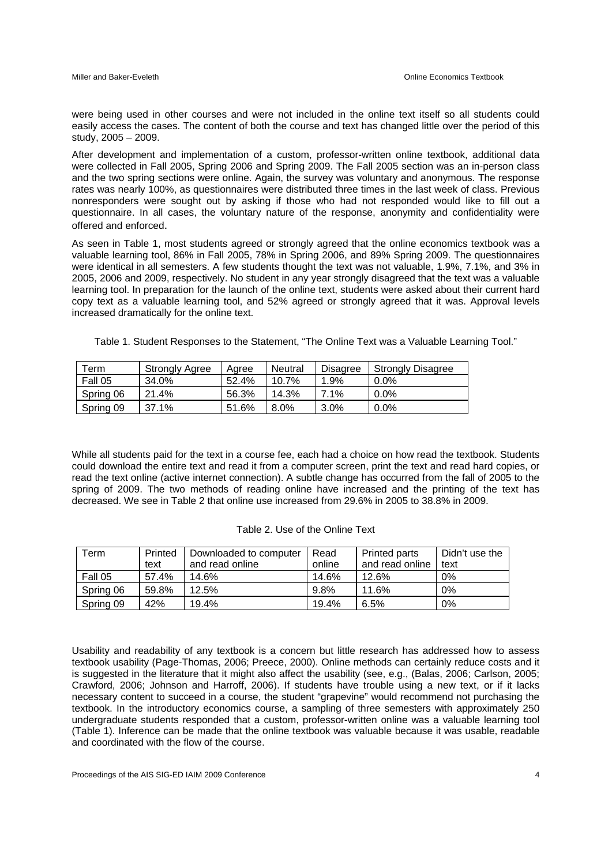were being used in other courses and were not included in the online text itself so all students could easily access the cases. The content of both the course and text has changed little over the period of this study, 2005 – 2009.

After development and implementation of a custom, professor-written online textbook, additional data were collected in Fall 2005, Spring 2006 and Spring 2009. The Fall 2005 section was an in-person class and the two spring sections were online. Again, the survey was voluntary and anonymous. The response rates was nearly 100%, as questionnaires were distributed three times in the last week of class. Previous nonresponders were sought out by asking if those who had not responded would like to fill out a questionnaire. In all cases, the voluntary nature of the response, anonymity and confidentiality were offered and enforced.

As seen in Table 1, most students agreed or strongly agreed that the online economics textbook was a valuable learning tool, 86% in Fall 2005, 78% in Spring 2006, and 89% Spring 2009. The questionnaires were identical in all semesters. A few students thought the text was not valuable, 1.9%, 7.1%, and 3% in 2005, 2006 and 2009, respectively. No student in any year strongly disagreed that the text was a valuable learning tool. In preparation for the launch of the online text, students were asked about their current hard copy text as a valuable learning tool, and 52% agreed or strongly agreed that it was. Approval levels increased dramatically for the online text.

Table 1. Student Responses to the Statement, "The Online Text was a Valuable Learning Tool."

| Term      | <b>Strongly Agree</b> | Aaree | Neutral | Disagree | <b>Strongly Disagree</b> |
|-----------|-----------------------|-------|---------|----------|--------------------------|
| Fall 05   | 34.0%                 | 52.4% | 10.7%   | 1.9%     | $0.0\%$                  |
| Spring 06 | 21.4%                 | 56.3% | 14.3%   | $7.1\%$  | $0.0\%$                  |
| Spring 09 | 37.1%                 | 51.6% | $8.0\%$ | $3.0\%$  | $0.0\%$                  |

While all students paid for the text in a course fee, each had a choice on how read the textbook. Students could download the entire text and read it from a computer screen, print the text and read hard copies, or read the text online (active internet connection). A subtle change has occurred from the fall of 2005 to the spring of 2009. The two methods of reading online have increased and the printing of the text has decreased. We see in Table 2 that online use increased from 29.6% in 2005 to 38.8% in 2009.

| Геrm      | Printed | Downloaded to computer | Read   | <b>Printed parts</b> | Didn't use the |
|-----------|---------|------------------------|--------|----------------------|----------------|
|           | text    | and read online        | online | and read online      | text           |
| Fall 05   | 57.4%   | 14.6%                  | 14.6%  | 12.6%                | 0%             |
| Spring 06 | 59.8%   | 12.5%                  | 9.8%   | 11.6%                | 0%             |
| Spring 09 | 42%     | 19.4%                  | 19.4%  | 6.5%                 | 0%             |

|--|

Usability and readability of any textbook is a concern but little research has addressed how to assess textbook usability (Page-Thomas, 2006; Preece, 2000). Online methods can certainly reduce costs and it is suggested in the literature that it might also affect the usability (see, e.g., (Balas, 2006; Carlson, 2005; Crawford, 2006; Johnson and Harroff, 2006). If students have trouble using a new text, or if it lacks necessary content to succeed in a course, the student "grapevine" would recommend not purchasing the textbook. In the introductory economics course, a sampling of three semesters with approximately 250 undergraduate students responded that a custom, professor-written online was a valuable learning tool (Table 1). Inference can be made that the online textbook was valuable because it was usable, readable and coordinated with the flow of the course.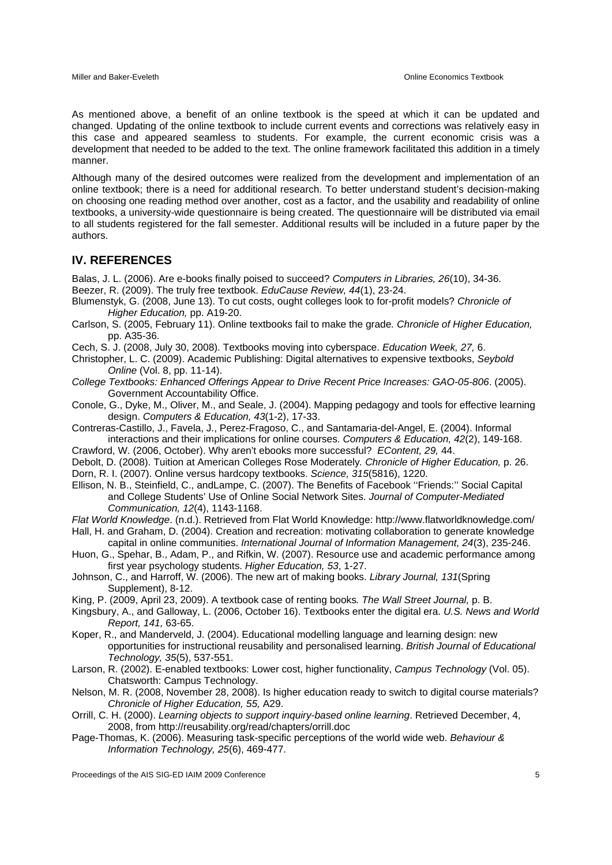As mentioned above, a benefit of an online textbook is the speed at which it can be updated and changed. Updating of the online textbook to include current events and corrections was relatively easy in this case and appeared seamless to students. For example, the current economic crisis was a development that needed to be added to the text. The online framework facilitated this addition in a timely manner.

Although many of the desired outcomes were realized from the development and implementation of an online textbook; there is a need for additional research. To better understand student's decision-making on choosing one reading method over another, cost as a factor, and the usability and readability of online textbooks, a university-wide questionnaire is being created. The questionnaire will be distributed via email to all students registered for the fall semester. Additional results will be included in a future paper by the authors.

#### **IV. REFERENCES**

Balas, J. L. (2006). Are e-books finally poised to succeed? *Computers in Libraries, 26*(10), 34-36.

Beezer, R. (2009). The truly free textbook. *EduCause Review, 44*(1), 23-24.

- Blumenstyk, G. (2008, June 13). To cut costs, ought colleges look to for-profit models? *Chronicle of Higher Education,* pp. A19-20.
- Carlson, S. (2005, February 11). Online textbooks fail to make the grade*. Chronicle of Higher Education,* pp. A35-36.
- Cech, S. J. (2008, July 30, 2008). Textbooks moving into cyberspace. *Education Week, 27,* 6.

Christopher, L. C. (2009). Academic Publishing: Digital alternatives to expensive textbooks, *Seybold Online* (Vol. 8, pp. 11-14).

- *College Textbooks: Enhanced Offerings Appear to Drive Recent Price Increases: GAO-05-806*. (2005). Government Accountability Office.
- Conole, G., Dyke, M., Oliver, M., and Seale, J. (2004). Mapping pedagogy and tools for effective learning design. *Computers & Education, 43*(1-2), 17-33.
- Contreras-Castillo, J., Favela, J., Perez-Fragoso, C., and Santamaria-del-Angel, E. (2004). Informal interactions and their implications for online courses. *Computers & Education, 42*(2), 149-168.

Crawford, W. (2006, October). Why aren't ebooks more successful? *EContent, 29,* 44.

- Debolt, D. (2008). Tuition at American Colleges Rose Moderately*. Chronicle of Higher Education,* p. 26. Dorn, R. I. (2007). Online versus hardcopy textbooks. *Science, 315*(5816), 1220.
- Ellison, N. B., Steinfield, C., andLampe, C. (2007). The Benefits of Facebook ''Friends:'' Social Capital and College Students' Use of Online Social Network Sites. *Journal of Computer-Mediated Communication, 12*(4), 1143-1168.

*Flat World Knowledge*. (n.d.). Retrieved from Flat World Knowledge: http://www.flatworldknowledge.com/

- Hall, H. and Graham, D. (2004). Creation and recreation: motivating collaboration to generate knowledge
- capital in online communities. *International Journal of Information Management, 24*(3), 235-246. Huon, G., Spehar, B., Adam, P., and Rifkin, W. (2007). Resource use and academic performance among first year psychology students. *Higher Education, 53*, 1-27.
- Johnson, C., and Harroff, W. (2006). The new art of making books. *Library Journal, 131*(Spring Supplement), 8-12.
- King, P. (2009, April 23, 2009). A textbook case of renting books*. The Wall Street Journal,* p. B.
- Kingsbury, A., and Galloway, L. (2006, October 16). Textbooks enter the digital era. *U.S. News and World Report, 141,* 63-65.
- Koper, R., and Manderveld, J. (2004). Educational modelling language and learning design: new opportunities for instructional reusability and personalised learning. *British Journal of Educational Technology, 35*(5), 537-551.
- Larson, R. (2002). E-enabled textbooks: Lower cost, higher functionality, *Campus Technology* (Vol. 05). Chatsworth: Campus Technology.
- Nelson, M. R. (2008, November 28, 2008). Is higher education ready to switch to digital course materials? *Chronicle of Higher Education, 55,* A29.
- Orrill, C. H. (2000). *Learning objects to support inquiry-based online learning*. Retrieved December, 4, 2008, from http://reusability.org/read/chapters/orrill.doc
- Page-Thomas, K. (2006). Measuring task-specific perceptions of the world wide web. *Behaviour & Information Technology, 25*(6), 469-477.

Proceedings of the AIS SIG-ED IAIM 2009 Conference 5